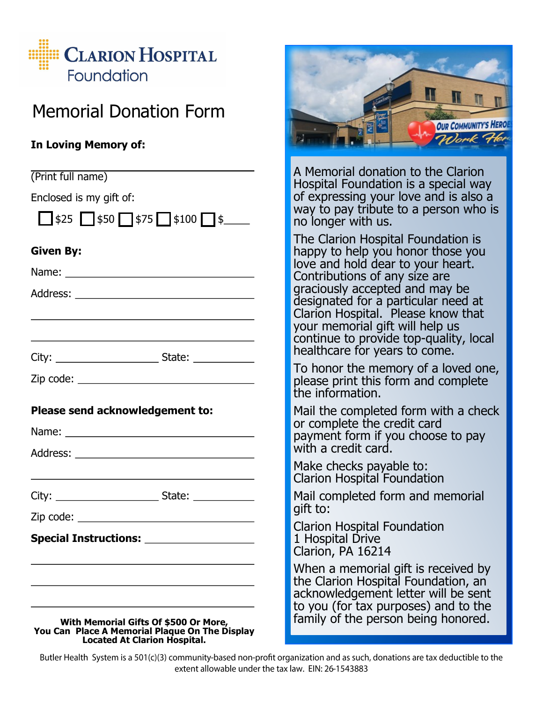

## Memorial Donation Form

## **In Loving Memory of:**

| (Print full name)                                                                                                              | A Memo<br>Hospita         |
|--------------------------------------------------------------------------------------------------------------------------------|---------------------------|
| Enclosed is my gift of:                                                                                                        | of expr                   |
| $\Box$ \$25 $\Box$ \$50 $\Box$ \$75 $\Box$ \$100 $\Box$ \$                                                                     | way to<br>no long         |
| <b>Given By:</b>                                                                                                               | <b>The Cla</b><br>happy t |
|                                                                                                                                | love an<br>Contrib        |
|                                                                                                                                | graciou                   |
|                                                                                                                                | designa<br>Clarion        |
| <u> 1989 - Johann Barbara, martin amerikan basar dan berasal dalam basa dalam basar dalam basar dalam basa dalam</u>           | your m<br>continu         |
|                                                                                                                                | healthc                   |
|                                                                                                                                | To hon<br>please          |
|                                                                                                                                | the infc                  |
| Please send acknowledgement to:                                                                                                | Mail the<br>or com        |
|                                                                                                                                | paymer                    |
|                                                                                                                                | with a d                  |
|                                                                                                                                | Make cl<br>Clarion        |
|                                                                                                                                | Mail cor                  |
|                                                                                                                                | gift to:<br>Clarion       |
| Special Instructions: ____________________                                                                                     | 1 Hospi<br>Clarion,       |
|                                                                                                                                | When a                    |
|                                                                                                                                | the Clar<br>acknow        |
|                                                                                                                                | to you<br>family o        |
| With Memorial Gifts Of \$500 Or More,<br>You Can Place A Memorial Plaque On The Display<br><b>Located At Clarion Hospital.</b> |                           |



orial donation to the Clarion I Foundation is a special way essing your love and is also a pay tribute to a person who is er with us.

rion Hospital Foundation is to help you honor those you d hold dear to your heart. utions of any size are sly accepted and may be ited for a particular need at Hospital. Please know that emorial gift will help us e to provide top-quality, local are for years to come.

or the memory of a loved one, print this form and complete rmation.

e completed form with a check plete the credit card nt form if you choose to pay credit card.

hecks payable to: Hospital Foundation

mpleted form and memorial

**Hospital Foundation** tal Drive PA 16214

memorial gift is received by rion Hospital Foundation, an ledgement letter will be sent (for tax purposes) and to the of the person being honored.

Butler Health System is a 501(c)(3) community-based non-profit organization and as such, donations are tax deductible to the extent allowable under the tax law. EIN: 26-1543883